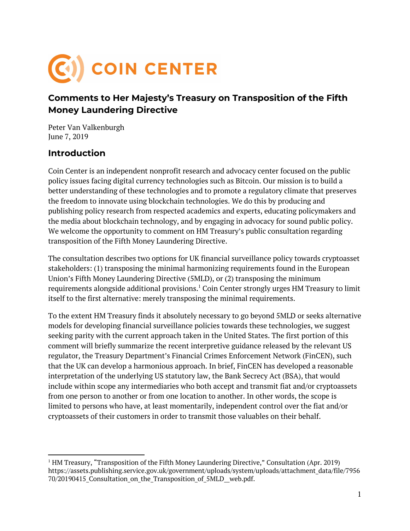

## **Comments to Her Majesty's Treasury on Transposition of the Fifth Money Laundering Directive**

Peter Van Valkenburgh June 7, 2019

### **Introduction**

Coin Center is an independent nonprofit research and advocacy center focused on the public policy issues facing digital currency technologies such as Bitcoin. Our mission is to build a better understanding of these technologies and to promote a regulatory climate that preserves the freedom to innovate using blockchain technologies. We do this by producing and publishing policy research from respected academics and experts, educating policymakers and the media about blockchain technology, and by engaging in advocacy for sound public policy. We welcome the opportunity to comment on HM Treasury's public consultation regarding transposition of the Fifth Money Laundering Directive.

The consultation describes two options for UK financial surveillance policy towards cryptoasset stakeholders: (1) transposing the minimal harmonizing requirements found in the European Union's Fifth Money Laundering Directive (5MLD), or (2) transposing the minimum requirements alongside additional provisions. $^1$  Coin Center strongly urges HM Treasury to limit itself to the first alternative: merely transposing the minimal requirements.

To the extent HM Treasury finds it absolutely necessary to go beyond 5MLD or seeks alternative models for developing financial surveillance policies towards these technologies, we suggest seeking parity with the current approach taken in the United States. The first portion of this comment will briefly summarize the recent interpretive guidance released by the relevant US regulator, the Treasury Department's Financial Crimes Enforcement Network (FinCEN), such that the UK can develop a harmonious approach. In brief, FinCEN has developed a reasonable interpretation of the underlying US statutory law, the Bank Secrecy Act (BSA), that would include within scope any intermediaries who both accept and transmit fiat and/or cryptoassets from one person to another or from one location to another. In other words, the scope is limited to persons who have, at least momentarily, independent control over the fiat and/or cryptoassets of their customers in order to transmit those valuables on their behalf.

 $1$  HM Treasury, "Transposition of the Fifth Money Laundering Directive," Consultation (Apr. 2019) https://assets.publishing.service.gov.uk/government/uploads/system/uploads/attachment\_data/file/7956 70/20190415 Consultation on the Transposition of 5MLD web.pdf.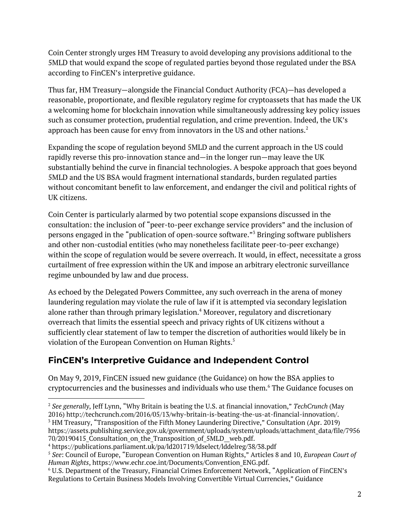Coin Center strongly urges HM Treasury to avoid developing any provisions additional to the 5MLD that would expand the scope of regulated parties beyond those regulated under the BSA according to FinCEN's interpretive guidance.

Thus far, HM Treasury—alongside the Financial Conduct Authority (FCA)—has developed a reasonable, proportionate, and flexible regulatory regime for cryptoassets that has made the UK a welcoming home for blockchain innovation while simultaneously addressing key policy issues such as consumer protection, prudential regulation, and crime prevention. Indeed, the UK's approach has been cause for envy from innovators in the US and other nations. $^2$ 

Expanding the scope of regulation beyond 5MLD and the current approach in the US could rapidly reverse this pro-innovation stance and—in the longer run—may leave the UK substantially behind the curve in financial technologies. A bespoke approach that goes beyond 5MLD and the US BSA would fragment international standards, burden regulated parties without concomitant benefit to law enforcement, and endanger the civil and political rights of UK citizens.

Coin Center is particularly alarmed by two potential scope expansions discussed in the consultation: the inclusion of "peer-to-peer exchange service providers" and the inclusion of persons engaged in the "publication of open-source software."<sup>3</sup> Bringing software publishers and other non-custodial entities (who may nonetheless facilitate peer-to-peer exchange) within the scope of regulation would be severe overreach. It would, in effect, necessitate a gross curtailment of free expression within the UK and impose an arbitrary electronic surveillance regime unbounded by law and due process.

As echoed by the Delegated Powers Committee, any such overreach in the arena of money laundering regulation may violate the rule of law if it is attempted via secondary legislation alone rather than through primary legislation.<sup>4</sup> Moreover, regulatory and discretionary overreach that limits the essential speech and privacy rights of UK citizens without a sufficiently clear statement of law to temper the discretion of authorities would likely be in violation of the European Convention on Human Rights. 5

# **FinCEN's Interpretive Guidance and Independent Control**

On May 9, 2019, FinCEN issued new guidance (the Guidance) on how the BSA applies to cryptocurrencies and the businesses and individuals who use them. $\rm ^6$  The Guidance focuses on

<sup>2</sup> *See generally*, Jeff Lynn, "Why Britain is beating the U.S. at financial innovation," *TechCrunch* (May 2016) http://techcrunch.com/2016/05/13/why-britain-is-beating-the-us-at-financial-innovation/. <sup>3</sup> HM Treasury, "Transposition of the Fifth Money Laundering Directive," Consultation (Apr. 2019) https://assets.publishing.service.gov.uk/government/uploads/system/uploads/attachment\_data/file/7956 70/20190415 Consultation on the Transposition of 5MLD web.pdf.

<sup>4</sup> https://publications.parliament.uk/pa/ld201719/ldselect/lddelreg/38/38.pdf

<sup>5</sup> *See*: Council of Europe, "European Convention on Human Rights," Articles 8 and 10, *European Court of Human Rights*, https://www.echr.coe.int/Documents/Convention\_ENG.pdf.

<sup>6</sup> U.S. Department of the Treasury, Financial Crimes Enforcement Network, "Application of FinCEN's Regulations to Certain Business Models Involving Convertible Virtual Currencies," Guidance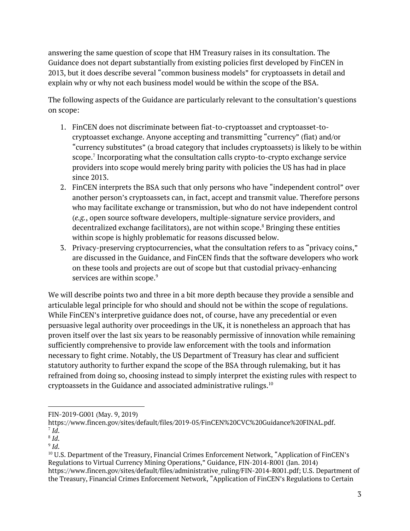answering the same question of scope that HM Treasury raises in its consultation. The Guidance does not depart substantially from existing policies first developed by FinCEN in 2013, but it does describe several "common business models" for cryptoassets in detail and explain why or why not each business model would be within the scope of the BSA.

The following aspects of the Guidance are particularly relevant to the consultation's questions on scope:

- 1. FinCEN does not discriminate between fiat-to-cryptoasset and cryptoasset-tocryptoasset exchange. Anyone accepting and transmitting "currency" (fiat) and/or "currency substitutes" (a broad category that includes cryptoassets) is likely to be within scope. $7$  Incorporating what the consultation calls crypto-to-crypto exchange service providers into scope would merely bring parity with policies the US has had in place since 2013.
- 2. FinCEN interprets the BSA such that only persons who have "independent control" over another person's cryptoassets can, in fact, accept and transmit value. Therefore persons who may facilitate exchange or transmission, but who do not have independent control (*e.g.*, open source software developers, multiple-signature service providers, and decentralized exchange facilitators), are not within scope. $^8$  Bringing these entities within scope is highly problematic for reasons discussed below.
- 3. Privacy-preserving cryptocurrencies, what the consultation refers to as "privacy coins," are discussed in the Guidance, and FinCEN finds that the software developers who work on these tools and projects are out of scope but that custodial privacy-enhancing services are within scope. $^9$

We will describe points two and three in a bit more depth because they provide a sensible and articulable legal principle for who should and should not be within the scope of regulations. While FinCEN's interpretive guidance does not, of course, have any precedential or even persuasive legal authority over proceedings in the UK, it is nonetheless an approach that has proven itself over the last six years to be reasonably permissive of innovation while remaining sufficiently comprehensive to provide law enforcement with the tools and information necessary to fight crime. Notably, the US Department of Treasury has clear and sufficient statutory authority to further expand the scope of the BSA through rulemaking, but it has refrained from doing so, choosing instead to simply interpret the existing rules with respect to cryptoassets in the Guidance and associated administrative rulings. $^{\rm 10}$ 

FIN-2019-G001 (May. 9, 2019)

https://www.fincen.gov/sites/default/files/2019-05/FinCEN%20CVC%20Guidance%20FINAL.pdf. 7 *Id*.

<sup>8</sup> *Id*.

<sup>9</sup> *Id*.

<sup>10</sup> U.S. Department of the Treasury, Financial Crimes Enforcement Network, "Application of FinCEN's Regulations to Virtual Currency Mining Operations," Guidance, FIN-2014-R001 (Jan. 2014) https://www.fincen.gov/sites/default/files/administrative\_ruling/FIN-2014-R001.pdf; U.S. Department of the Treasury, Financial Crimes Enforcement Network, "Application of FinCEN's Regulations to Certain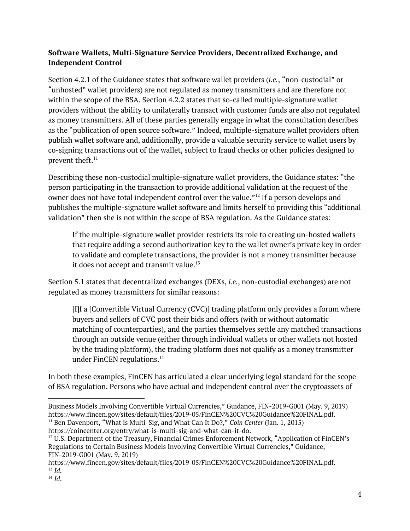#### **Software Wallets, Multi-Signature Service Providers, Decentralized Exchange, and Independent Control**

Section 4.2.1 of the Guidance states that software wallet providers (*i.e.*, "non-custodial" or "unhosted" wallet providers) are not regulated as money transmitters and are therefore not within the scope of the BSA. Section 4.2.2 states that so-called multiple-signature wallet providers without the ability to unilaterally transact with customer funds are also not regulated as money transmitters. All of these parties generally engage in what the consultation describes as the "publication of open source software." Indeed, multiple-signature wallet providers often publish wallet software and, additionally, provide a valuable security service to wallet users by co-signing transactions out of the wallet, subject to fraud checks or other policies designed to prevent theft. 11

Describing these non-custodial multiple-signature wallet providers, the Guidance states: "the person participating in the transaction to provide additional validation at the request of the owner does not have total independent control over the value." $^{12}$  If a person develops and publishes the multiple-signature wallet software and limits herself to providing this "additional validation" then she is not within the scope of BSA regulation. As the Guidance states:

If the multiple-signature wallet provider restricts its role to creating un-hosted wallets that require adding a second authorization key to the wallet owner's private key in order to validate and complete transactions, the provider is not a money transmitter because it does not accept and transmit value. $^{13}$ 

Section 5.1 states that decentralized exchanges (DEXs, *i.e.*, non-custodial exchanges) are not regulated as money transmitters for similar reasons:

[I]f a [Convertible Virtual Currency (CVC)] trading platform only provides a forum where buyers and sellers of CVC post their bids and offers (with or without automatic matching of counterparties), and the parties themselves settle any matched transactions through an outside venue (either through individual wallets or other wallets not hosted by the trading platform), the trading platform does not qualify as a money transmitter under FinCEN regulations. 14

In both these examples, FinCEN has articulated a clear underlying legal standard for the scope of BSA regulation. Persons who have actual and independent control over the cryptoassets of

https://coincenter.org/entry/what-is-multi-sig-and-what-can-it-do.

Business Models Involving Convertible Virtual Currencies," Guidance, FIN-2019-G001 (May. 9, 2019) https://www.fincen.gov/sites/default/files/2019-05/FinCEN%20CVC%20Guidance%20FINAL.pdf. <sup>11</sup> Ben Davenport, "What is Multi-Sig, and What Can It Do?," *Coin Center* (Jan. 1, 2015)

 $12$  U.S. Department of the Treasury, Financial Crimes Enforcement Network, "Application of FinCEN's Regulations to Certain Business Models Involving Convertible Virtual Currencies," Guidance, FIN-2019-G001 (May. 9, 2019)

https://www.fincen.gov/sites/default/files/2019-05/FinCEN%20CVC%20Guidance%20FINAL.pdf. 13 *Id*.

<sup>14</sup> *Id*.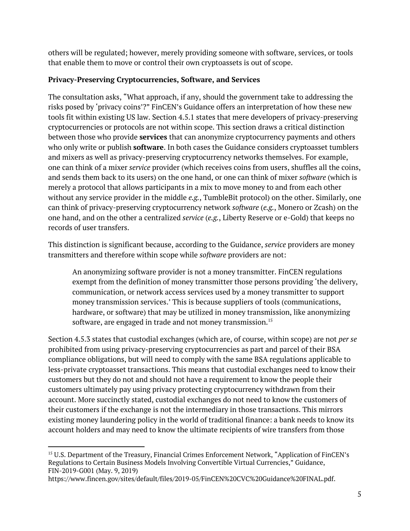others will be regulated; however, merely providing someone with software, services, or tools that enable them to move or control their own cryptoassets is out of scope.

### **Privacy-Preserving Cryptocurrencies, Software, and Services**

The consultation asks, "What approach, if any, should the government take to addressing the risks posed by 'privacy coins'?" FinCEN's Guidance offers an interpretation of how these new tools fit within existing US law. Section 4.5.1 states that mere developers of privacy-preserving cryptocurrencies or protocols are not within scope. This section draws a critical distinction between those who provide **services** that can anonymize cryptocurrency payments and others who only write or publish **software**. In both cases the Guidance considers cryptoasset tumblers and mixers as well as privacy-preserving cryptocurrency networks themselves. For example, one can think of a mixer *service* provider (which receives coins from users, shuffles all the coins, and sends them back to its users) on the one hand, or one can think of mixer *software* (which is merely a protocol that allows participants in a mix to move money to and from each other without any service provider in the middle *e.g.*, TumbleBit protocol) on the other. Similarly, one can think of privacy-preserving cryptocurrency network *software* (*e.g.*, Monero or Zcash) on the one hand, and on the other a centralized *service* (*e.g.*, Liberty Reserve or e-Gold) that keeps no records of user transfers.

This distinction is significant because, according to the Guidance, *service* providers are money transmitters and therefore within scope while *software* providers are not:

An anonymizing software provider is not a money transmitter. FinCEN regulations exempt from the definition of money transmitter those persons providing 'the delivery, communication, or network access services used by a money transmitter to support money transmission services.' This is because suppliers of tools (communications, hardware, or software) that may be utilized in money transmission, like anonymizing software, are engaged in trade and not money transmission. $^{\rm 15}$ 

Section 4.5.3 states that custodial exchanges (which are, of course, within scope) are not *per se* prohibited from using privacy-preserving cryptocurrencies as part and parcel of their BSA compliance obligations, but will need to comply with the same BSA regulations applicable to less-private cryptoasset transactions. This means that custodial exchanges need to know their customers but they do not and should not have a requirement to know the people their customers ultimately pay using privacy protecting cryptocurrency withdrawn from their account. More succinctly stated, custodial exchanges do not need to know the customers of their customers if the exchange is not the intermediary in those transactions. This mirrors existing money laundering policy in the world of traditional finance: a bank needs to know its account holders and may need to know the ultimate recipients of wire transfers from those

<sup>15</sup> U.S. Department of the Treasury, Financial Crimes Enforcement Network, "Application of FinCEN's Regulations to Certain Business Models Involving Convertible Virtual Currencies," Guidance, FIN-2019-G001 (May. 9, 2019)

https://www.fincen.gov/sites/default/files/2019-05/FinCEN%20CVC%20Guidance%20FINAL.pdf.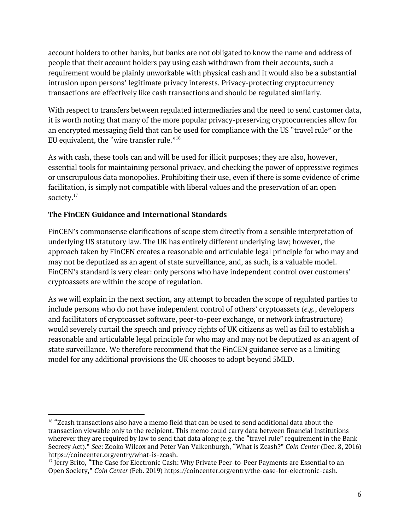account holders to other banks, but banks are not obligated to know the name and address of people that their account holders pay using cash withdrawn from their accounts, such a requirement would be plainly unworkable with physical cash and it would also be a substantial intrusion upon persons' legitimate privacy interests. Privacy-protecting cryptocurrency transactions are effectively like cash transactions and should be regulated similarly.

With respect to transfers between regulated intermediaries and the need to send customer data, it is worth noting that many of the more popular privacy-preserving cryptocurrencies allow for an encrypted messaging field that can be used for compliance with the US "travel rule" or the EU equivalent, the "wire transfer rule."  $^{16}$ 

As with cash, these tools can and will be used for illicit purposes; they are also, however, essential tools for maintaining personal privacy, and checking the power of oppressive regimes or unscrupulous data monopolies. Prohibiting their use, even if there is some evidence of crime facilitation, is simply not compatible with liberal values and the preservation of an open society. 17

#### **The FinCEN Guidance and International Standards**

FinCEN's commonsense clarifications of scope stem directly from a sensible interpretation of underlying US statutory law. The UK has entirely different underlying law; however, the approach taken by FinCEN creates a reasonable and articulable legal principle for who may and may not be deputized as an agent of state surveillance, and, as such, is a valuable model. FinCEN's standard is very clear: only persons who have independent control over customers' cryptoassets are within the scope of regulation.

As we will explain in the next section, any attempt to broaden the scope of regulated parties to include persons who do not have independent control of others' cryptoassets (*e.g.*, developers and facilitators of cryptoasset software, peer-to-peer exchange, or network infrastructure) would severely curtail the speech and privacy rights of UK citizens as well as fail to establish a reasonable and articulable legal principle for who may and may not be deputized as an agent of state surveillance. We therefore recommend that the FinCEN guidance serve as a limiting model for any additional provisions the UK chooses to adopt beyond 5MLD.

<sup>&</sup>lt;sup>16</sup> "Zcash transactions also have a memo field that can be used to send additional data about the transaction viewable only to the recipient. This memo could carry data between financial institutions wherever they are required by law to send that data along (e.g. the "travel rule" requirement in the Bank Secrecy Act)." *See*: Zooko Wilcox and Peter Van Valkenburgh, "What is Zcash?" *Coin Center* (Dec. 8, 2016) https://coincenter.org/entry/what-is-zcash.

 $^{17}$  Jerry Brito, "The Case for Electronic Cash: Why Private Peer-to-Peer Payments are Essential to an Open Society," *Coin Center* (Feb. 2019) https://coincenter.org/entry/the-case-for-electronic-cash.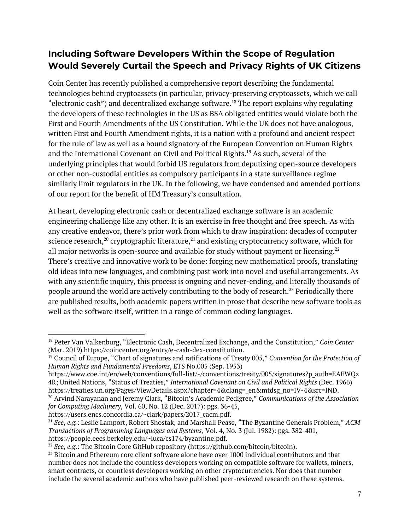## **Including Software Developers Within the Scope of Regulation Would Severely Curtail the Speech and Privacy Rights of UK Citizens**

Coin Center has recently published a comprehensive report describing the fundamental technologies behind cryptoassets (in particular, privacy-preserving cryptoassets, which we call "electronic cash") and decentralized exchange software.<sup>18</sup> The report explains why regulating the developers of these technologies in the US as BSA obligated entities would violate both the First and Fourth Amendments of the US Constitution. While the UK does not have analogous, written First and Fourth Amendment rights, it is a nation with a profound and ancient respect for the rule of law as well as a bound signatory of the European Convention on Human Rights and the International Covenant on Civil and Political Rights.<sup>19</sup> As such, several of the underlying principles that would forbid US regulators from deputizing open-source developers or other non-custodial entities as compulsory participants in a state surveillance regime similarly limit regulators in the UK. In the following, we have condensed and amended portions of our report for the benefit of HM Treasury's consultation.

At heart, developing electronic cash or decentralized exchange software is an academic engineering challenge like any other. It is an exercise in free thought and free speech. As with any creative endeavor, there's prior work from which to draw inspiration: decades of computer science research, $^{\text{20}}$  cryptographic literature, $^{\text{21}}$  and existing cryptocurrency software, which for all major networks is open-source and available for study without payment or licensing. $^{22}$ There's creative and innovative work to be done: forging new mathematical proofs, translating old ideas into new languages, and combining past work into novel and useful arrangements. As with any scientific inquiry, this process is ongoing and never-ending, and literally thousands of people around the world are actively contributing to the body of research. $^{23}$  Periodically there are published results, both academic papers written in prose that describe new software tools as well as the software itself, written in a range of common coding languages.

https://users.encs.concordia.ca/~clark/papers/2017\_cacm.pdf.

<sup>18</sup> Peter Van Valkenburg, "Electronic Cash, Decentralized Exchange, and the Constitution," *Coin Center* (Mar. 2019) https://coincenter.org/entry/e-cash-dex-constitution.

<sup>19</sup> Council of Europe, "Chart of signatures and ratifications of Treaty 005," *Convention for the Protection of Human Rights and Fundamental Freedoms*, ETS No.005 (Sep. 1953)

[https://www.coe.int/en/web/conventions/full-list/-/conventions/treaty/005/signatures?p\\_auth=EAEWQz](https://www.coe.int/en/web/conventions/full-list/-/conventions/treaty/005/signatures?p_auth=EAEWQz4R) [4R;](https://www.coe.int/en/web/conventions/full-list/-/conventions/treaty/005/signatures?p_auth=EAEWQz4R) United Nations, "Status of Treaties," *International Covenant on Civil and Political Rights* (Dec. 1966) [https://treaties.un.org/Pages/ViewDetails.aspx?chapter=4&clang=\\_en&mtdsg\\_no=IV-4&src=IND.](https://treaties.un.org/Pages/ViewDetails.aspx?chapter=4&clang=_en&mtdsg_no=IV-4&src=IND)

<sup>20</sup> Arvind Narayanan and Jeremy Clark, "Bitcoin's Academic Pedigree," *Communications of the Association for Computing Machinery*, Vol. 60, No. 12 (Dec. 2017): pgs. 36-45,

<sup>21</sup> *See*, *e.g.*: Leslie Lamport, Robert Shostak, and Marshall Pease, "The Byzantine Generals Problem," *ACM Transactions of Programming Languages and Systems*, Vol. 4, No. 3 (Jul. 1982): pgs. 382-401, https://people.eecs.berkeley.edu/~luca/cs174/byzantine.pdf.

<sup>22</sup> *See*, *e.g*.: The Bitcoin Core GitHub repository (https://github.com/bitcoin/bitcoin).

 $23$  Bitcoin and Ethereum core client software alone have over 1000 individual contributors and that number does not include the countless developers working on compatible software for wallets, miners, smart contracts, or countless developers working on other cryptocurrencies. Nor does that number include the several academic authors who have published peer-reviewed research on these systems.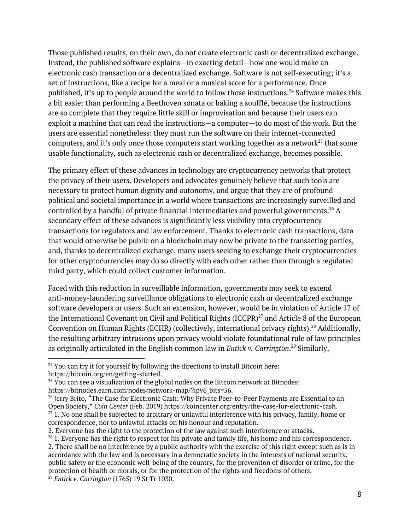Those published results, on their own, do not create electronic cash or decentralized exchange. Instead, the published software explains—in exacting detail—how one would make an electronic cash transaction or a decentralized exchange. Software is not self-executing; it's a set of instructions, like a recipe for a meal or a musical score for a performance. Once published, it's up to people around the world to follow those instructions. $^\mathrm{24}$  Software makes this a bit easier than performing a Beethoven sonata or baking a soufflé, because the instructions are so complete that they require little skill or improvisation and because their users can exploit a machine that can read the instructions—a computer—to do most of the work. But the users are essential nonetheless: they must run the software on their internet-connected computers, and it's only once those computers start working together as a network $^{25}$  that some usable functionality, such as electronic cash or decentralized exchange, becomes possible.

The primary effect of these advances in technology are cryptocurrency networks that protect the privacy of their users. Developers and advocates genuinely believe that such tools are necessary to protect human dignity and autonomy, and argue that they are of profound political and societal importance in a world where transactions are increasingly surveilled and controlled by a handful of private financial intermediaries and powerful governments. $^{26}\,\mathrm{A}$ secondary effect of these advances is significantly less visibility into cryptocurrency transactions for regulators and law enforcement. Thanks to electronic cash transactions, data that would otherwise be public on a blockchain may now be private to the transacting parties, and, thanks to decentralized exchange, many users seeking to exchange their cryptocurrencies for other cryptocurrencies may do so directly with each other rather than through a regulated third party, which could collect customer information.

Faced with this reduction in surveillable information, governments may seek to extend anti-money-laundering surveillance obligations to electronic cash or decentralized exchange software developers or users. Such an extension, however, would be in violation of Article 17 of the International Covenant on Civil and Political Rights (ICCPR) $^{27}$  and Article 8 of the European Convention on Human Rights (ECHR) (collectively, international privacy rights).<sup>28</sup> Additionally, the resulting arbitrary intrusions upon privacy would violate foundational rule of law principles as originally articulated in the English common law in *Entick v. Carrington*.<sup>29</sup> Similarly,

 $24$  You can try it for yourself by following the directions to install Bitcoin here: https://bitcoin.org/en/getting-started.

 $25$  You can see a visualization of the global nodes on the Bitcoin network at Bitnodes: https://bitnodes.earn.com/nodes/network-map/?ipv6\_bits=56.

 $^{26}$  Jerry Brito, "The Case for Electronic Cash: Why Private Peer-to-Peer Payments are Essential to an Open Society," *Coin Center* (Feb. 2019) https://coincenter.org/entry/the-case-for-electronic-cash.

 $27$  1. No one shall be subjected to arbitrary or unlawful interference with his privacy, family, home or correspondence, nor to unlawful attacks on his honour and reputation.

<sup>2.</sup> Everyone has the right to the protection of the law against such interference or attacks.

 $28$  1. Everyone has the right to respect for his private and family life, his home and his correspondence. 2. There shall be no interference by a public authority with the exercise of this right except such as is in accordance with the law and is necessary in a democratic society in the interests of national security, public safety or the economic well-being of the country, for the prevention of disorder or crime, for the protection of health or morals, or for the protection of the rights and freedoms of others. <sup>29</sup> *Entick v. Carrington* (1765) 19 St Tr 1030.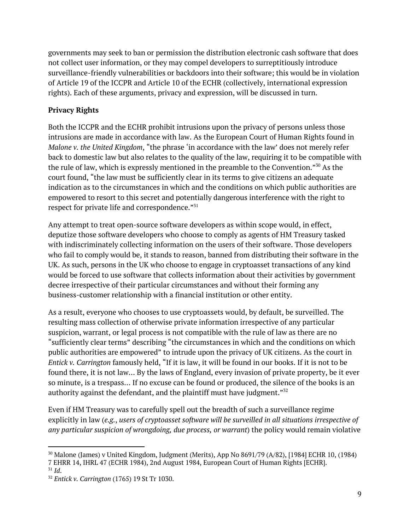governments may seek to ban or permission the distribution electronic cash software that does not collect user information, or they may compel developers to surreptitiously introduce surveillance-friendly vulnerabilities or backdoors into their software; this would be in violation of Article 19 of the ICCPR and Article 10 of the ECHR (collectively, international expression rights). Each of these arguments, privacy and expression, will be discussed in turn.

### **Privacy Rights**

Both the ICCPR and the ECHR prohibit intrusions upon the privacy of persons unless those intrusions are made in accordance with law. As the European Court of Human Rights found in *Malone v. the United Kingdom*, "the phrase 'in accordance with the law' does not merely refer back to domestic law but also relates to the quality of the law, requiring it to be compatible with the rule of law, which is expressly mentioned in the preamble to the Convention." $^{30}$  As the court found, "the law must be sufficiently clear in its terms to give citizens an adequate indication as to the circumstances in which and the conditions on which public authorities are empowered to resort to this secret and potentially dangerous interference with the right to respect for private life and correspondence."  $31$ 

Any attempt to treat open-source software developers as within scope would, in effect, deputize those software developers who choose to comply as agents of HM Treasury tasked with indiscriminately collecting information on the users of their software. Those developers who fail to comply would be, it stands to reason, banned from distributing their software in the UK. As such, persons in the UK who choose to engage in cryptoasset transactions of any kind would be forced to use software that collects information about their activities by government decree irrespective of their particular circumstances and without their forming any business-customer relationship with a financial institution or other entity.

As a result, everyone who chooses to use cryptoassets would, by default, be surveilled. The resulting mass collection of otherwise private information irrespective of any particular suspicion, warrant, or legal process is not compatible with the rule of law as there are no "sufficiently clear terms" describing "the circumstances in which and the conditions on which public authorities are empowered" to intrude upon the privacy of UK citizens. As the court in *Entick v. Carrington* famously held, "If it is law, it will be found in our books. If it is not to be found there, it is not law… By the laws of England, every invasion of private property, be it ever so minute, is a trespass… If no excuse can be found or produced, the silence of the books is an authority against the defendant, and the plaintiff must have judgment." $^{\scriptstyle 32}$ 

Even if HM Treasury was to carefully spell out the breadth of such a surveillance regime explicitly in law (*e.g.*, *users of cryptoasset software will be surveilled in all situations irrespective of any particular suspicion of wrongdoing, due process, or warrant*) the policy would remain violative

<sup>30</sup> Malone (James) v United Kingdom, Judgment (Merits), App No 8691/79 (A/82), [1984] ECHR 10, (1984) 7 EHRR 14, IHRL 47 (ECHR 1984), 2nd August 1984, European Court of Human Rights [ECHR].

<sup>31</sup> *Id*.

<sup>32</sup> *Entick v. Carrington* (1765) 19 St Tr 1030.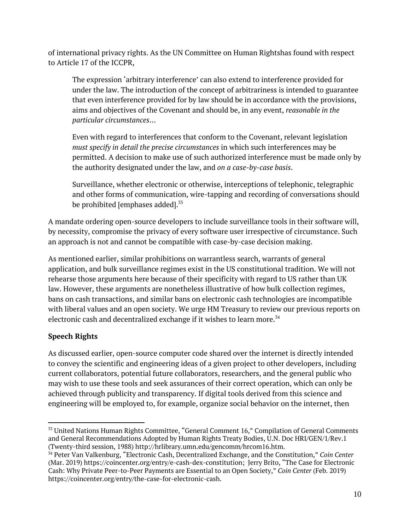of international privacy rights. As the UN Committee on Human Rightshas found with respect to Article 17 of the ICCPR,

The expression 'arbitrary interference' can also extend to interference provided for under the law. The introduction of the concept of arbitrariness is intended to guarantee that even interference provided for by law should be in accordance with the provisions, aims and objectives of the Covenant and should be, in any event, *reasonable in the particular circumstances*…

Even with regard to interferences that conform to the Covenant, relevant legislation *must specify in detail the precise circumstances* in which such interferences may be permitted. A decision to make use of such authorized interference must be made only by the authority designated under the law, and *on a case-by-case basis*.

Surveillance, whether electronic or otherwise, interceptions of telephonic, telegraphic and other forms of communication, wire-tapping and recording of conversations should be prohibited [emphases added].<sup>33</sup>

A mandate ordering open-source developers to include surveillance tools in their software will, by necessity, compromise the privacy of every software user irrespective of circumstance. Such an approach is not and cannot be compatible with case-by-case decision making.

As mentioned earlier, similar prohibitions on warrantless search, warrants of general application, and bulk surveillance regimes exist in the US constitutional tradition. We will not rehearse those arguments here because of their specificity with regard to US rather than UK law. However, these arguments are nonetheless illustrative of how bulk collection regimes, bans on cash transactions, and similar bans on electronic cash technologies are incompatible with liberal values and an open society. We urge HM Treasury to review our previous reports on electronic cash and decentralized exchange if it wishes to learn more. $^{34}$ 

### **Speech Rights**

As discussed earlier, open-source computer code shared over the internet is directly intended to convey the scientific and engineering ideas of a given project to other developers, including current collaborators, potential future collaborators, researchers, and the general public who may wish to use these tools and seek assurances of their correct operation, which can only be achieved through publicity and transparency. If digital tools derived from this science and engineering will be employed to, for example, organize social behavior on the internet, then

<sup>&</sup>lt;sup>33</sup> United Nations Human Rights Committee, "General Comment 16," Compilation of General Comments and General Recommendations Adopted by Human Rights Treaty Bodies, U.N. Doc HRI/GEN/1/Rev.1 (Twenty-third session, 1988) http://hrlibrary.umn.edu/gencomm/hrcom16.htm.

<sup>34</sup> Peter Van Valkenburg, "Electronic Cash, Decentralized Exchange, and the Constitution," *Coin Center* (Mar. 2019) https://coincenter.org/entry/e-cash-dex-constitution; Jerry Brito, "The Case for Electronic Cash: Why Private Peer-to-Peer Payments are Essential to an Open Society," *Coin Center* (Feb. 2019) https://coincenter.org/entry/the-case-for-electronic-cash.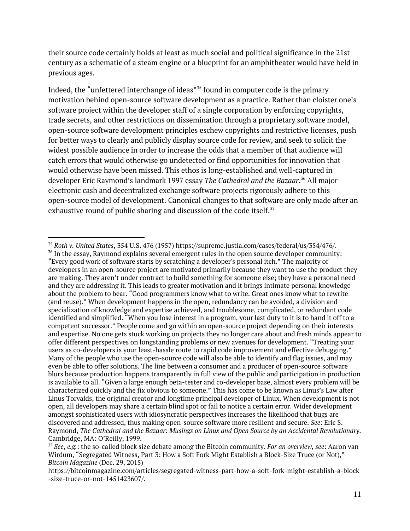their source code certainly holds at least as much social and political significance in the 21st century as a schematic of a steam engine or a blueprint for an amphitheater would have held in previous ages.

Indeed, the "unfettered interchange of ideas"<sup>35</sup> found in computer code is the primary motivation behind open-source software development as a practice. Rather than cloister one's software project within the developer staff of a single corporation by enforcing copyrights, trade secrets, and other restrictions on dissemination through a proprietary software model, open-source software development principles eschew copyrights and restrictive licenses, push for better ways to clearly and publicly display source code for review, and seek to solicit the widest possible audience in order to increase the odds that a member of that audience will catch errors that would otherwise go undetected or find opportunities for innovation that would otherwise have been missed. This ethos is long-established and well-captured in developer Eric Raymond's landmark 1997 essay *The Cathedral and the Bazaar*.<sup>36</sup> All major electronic cash and decentralized exchange software projects rigorously adhere to this open-source model of development. Canonical changes to that software are only made after an exhaustive round of public sharing and discussion of the code itself.<sup>37</sup>

<sup>35</sup> *Roth v. United States*, 354 U.S. 476 (1957) https://supreme.justia.com/cases/federal/us/354/476/.

<sup>&</sup>lt;sup>36</sup> In the essay, Raymond explains several emergent rules in the open source developer community: "Every good work of software starts by scratching a developer's personal itch." The majority of developers in an open-source project are motivated primarily because they want to use the product they are making. They aren't under contract to build something for someone else; they have a personal need and they are addressing it. This leads to greater motivation and it brings intimate personal knowledge about the problem to bear. "Good programmers know what to write. Great ones know what to rewrite (and reuse)." When development happens in the open, redundancy can be avoided, a division and specialization of knowledge and expertise achieved, and troublesome, complicated, or redundant code identified and simplified. "When you lose interest in a program, your last duty to it is to hand it off to a competent successor." People come and go within an open-source project depending on their interests and expertise. No one gets stuck working on projects they no longer care about and fresh minds appear to offer different perspectives on longstanding problems or new avenues for development. "Treating your users as co-developers is your least-hassle route to rapid code improvement and effective debugging." Many of the people who use the open-source code will also be able to identify and flag issues, and may even be able to offer solutions. The line between a consumer and a producer of open-source software blurs because production happens transparently in full view of the public and participation in production is available to all. "Given a large enough beta-tester and co-developer base, almost every problem will be characterized quickly and the fix obvious to someone." This has come to be known as Linus's Law after Linus Torvalds, the original creator and longtime principal developer of Linux. When development is not open, all developers may share a certain blind spot or fail to notice a certain error. Wider development amongst sophisticated users with idiosyncratic perspectives increases the likelihood that bugs are discovered and addressed, thus making open-source software more resilient and secure. *See*: Eric S. Raymond, *The Cathedral and the Bazaar: Musings on Linux and Open Source by an Accidental Revolutionary*. Cambridge, MA: O'Reilly, 1999.

*<sup>37</sup> See*, *e.g.*: the so-called block size debate among the Bitcoin community. *For an overview, see*: Aaron van Wirdum, "Segregated Witness, Part 3: How a Soft Fork Might Establish a Block-Size Truce (or Not)," *Bitcoin Magazine* (Dec. 29, 2015)

https://bitcoinmagazine.com/articles/segregated-witness-part-how-a-soft-fork-might-establish-a-block -size-truce-or-not-1451423607/.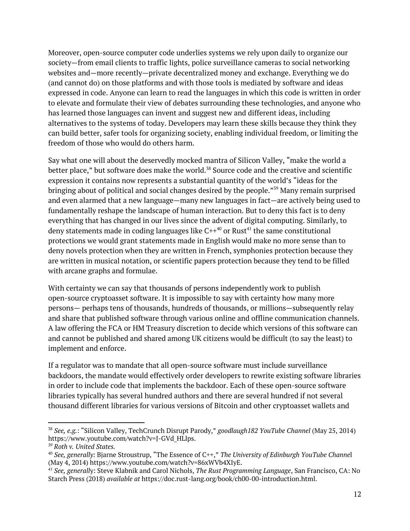Moreover, open-source computer code underlies systems we rely upon daily to organize our society—from email clients to traffic lights, police surveillance cameras to social networking websites and—more recently—private decentralized money and exchange. Everything we do (and cannot do) on those platforms and with those tools is mediated by software and ideas expressed in code. Anyone can learn to read the languages in which this code is written in order to elevate and formulate their view of debates surrounding these technologies, and anyone who has learned those languages can invent and suggest new and different ideas, including alternatives to the systems of today. Developers may learn these skills because they think they can build better, safer tools for organizing society, enabling individual freedom, or limiting the freedom of those who would do others harm.

Say what one will about the deservedly mocked mantra of Silicon Valley, "make the world a better place," but software does make the world. $38$  Source code and the creative and scientific expression it contains now represents a substantial quantity of the world's "ideas for the bringing about of political and social changes desired by the people."<sup>39</sup> Many remain surprised and even alarmed that a new language—many new languages in fact—are actively being used to fundamentally reshape the landscape of human interaction. But to deny this fact is to deny everything that has changed in our lives since the advent of digital computing. Similarly, to deny statements made in coding languages like C++ $^{\rm 40}$  or Rust $^{\rm 41}$  the same constitutional protections we would grant statements made in English would make no more sense than to deny novels protection when they are written in French, symphonies protection because they are written in musical notation, or scientific papers protection because they tend to be filled with arcane graphs and formulae.

With certainty we can say that thousands of persons independently work to publish open-source cryptoasset software. It is impossible to say with certainty how many more persons— perhaps tens of thousands, hundreds of thousands, or millions—subsequently relay and share that published software through various online and offline communication channels. A law offering the FCA or HM Treasury discretion to decide which versions of this software can and cannot be published and shared among UK citizens would be difficult (to say the least) to implement and enforce.

If a regulator was to mandate that all open-source software must include surveillance backdoors, the mandate would effectively order developers to rewrite existing software libraries in order to include code that implements the backdoor. Each of these open-source software libraries typically has several hundred authors and there are several hundred if not several thousand different libraries for various versions of Bitcoin and other cryptoasset wallets and

<sup>38</sup> *See, e.g.*: "Silicon Valley, TechCrunch Disrupt Parody," *goodlaugh182 YouTube Channel* (May 25, 2014) https://www.youtube.com/watch?v=J-GVd\_HLlps.

*<sup>39</sup> Roth v. United States.*

<sup>40</sup> *See, generally:* Bjarne Stroustrup, "The Essence of C++," *The University of Edinburgh YouTube Channe*l (May 4, 2014) https://www.youtube.com/watch?v=86xWVb4XIyE.

*<sup>41</sup> See, generall*y: Steve Klabnik and Carol Nichols, *The Rust Programming Language*, San Francisco, CA: No Starch Press (2018) *available at* https://doc.rust-lang.org/book/ch00-00-introduction.html.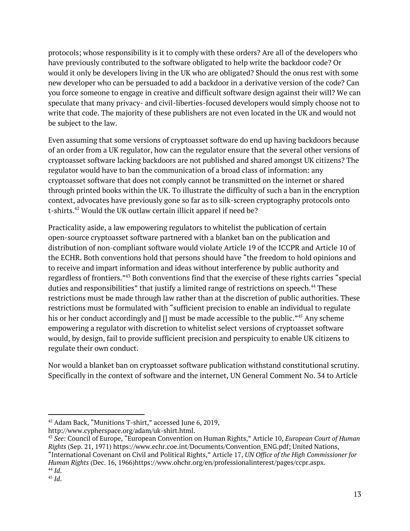protocols; whose responsibility is it to comply with these orders? Are all of the developers who have previously contributed to the software obligated to help write the backdoor code? Or would it only be developers living in the UK who are obligated? Should the onus rest with some new developer who can be persuaded to add a backdoor in a derivative version of the code? Can you force someone to engage in creative and difficult software design against their will? We can speculate that many privacy- and civil-liberties-focused developers would simply choose not to write that code. The majority of these publishers are not even located in the UK and would not be subject to the law.

Even assuming that some versions of cryptoasset software do end up having backdoors because of an order from a UK regulator, how can the regulator ensure that the several other versions of cryptoasset software lacking backdoors are not published and shared amongst UK citizens? The regulator would have to ban the communication of a broad class of information: any cryptoasset software that does not comply cannot be transmitted on the internet or shared through printed books within the UK. To illustrate the difficulty of such a ban in the encryption context, advocates have previously gone so far as to silk-screen cryptography protocols onto t-shirts. $42$  Would the UK outlaw certain illicit apparel if need be?

Practicality aside, a law empowering regulators to whitelist the publication of certain open-source cryptoasset software partnered with a blanket ban on the publication and distribution of non-compliant software would violate Article 19 of the ICCPR and Article 10 of the ECHR. Both conventions hold that persons should have "the freedom to hold opinions and to receive and impart information and ideas without interference by public authority and regardless of frontiers."<sup>43</sup> Both conventions find that the exercise of these rights carries "special duties and responsibilities" that justify a limited range of restrictions on speech.<sup>44</sup> These restrictions must be made through law rather than at the discretion of public authorities. These restrictions must be formulated with "sufficient precision to enable an individual to regulate his or her conduct accordingly and [] must be made accessible to the public." $45$  Any scheme empowering a regulator with discretion to whitelist select versions of cryptoasset software would, by design, fail to provide sufficient precision and perspicuity to enable UK citizens to regulate their own conduct.

Nor would a blanket ban on cryptoasset software publication withstand constitutional scrutiny. Specifically in the context of software and the internet, UN General Comment No. 34 to Article

http://www.cypherspace.org/adam/uk-shirt.html.

<sup>42</sup> Adam Back, "Munitions T-shirt," accessed June 6, 2019,

<sup>43</sup> *See*: Council of Europe, "European Convention on Human Rights," Article 10, *European Court of Human Rights* (Sep. 21, 1971) [https://www.echr.coe.int/Documents/Convention\\_ENG.pdf](https://www.echr.coe.int/Documents/Convention_ENG.pdf); United Nations, "International Covenant on Civil and Political Rights," Article 17, *UN Office of the High Commissioner for Human Rights* (Dec. 16, 1966[\)https://www.ohchr.org/en/professionalinterest/pages/ccpr.aspx.](https://www.ohchr.org/en/professionalinterest/pages/ccpr.aspx) 44 *Id*.

<sup>45</sup> *Id*.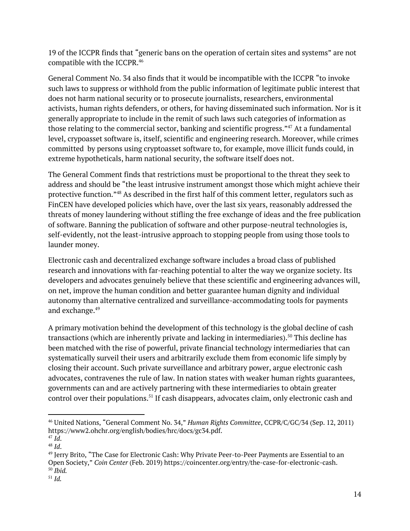19 of the ICCPR finds that "generic bans on the operation of certain sites and systems" are not compatible with the ICCPR. 46

General Comment No. 34 also finds that it would be incompatible with the ICCPR "to invoke such laws to suppress or withhold from the public information of legitimate public interest that does not harm national security or to prosecute journalists, researchers, environmental activists, human rights defenders, or others, for having disseminated such information. Nor is it generally appropriate to include in the remit of such laws such categories of information as those relating to the commercial sector, banking and scientific progress."<sup>47</sup> At a fundamental level, crypoasset software is, itself, scientific and engineering research. Moreover, while crimes committed by persons using cryptoasset software to, for example, move illicit funds could, in extreme hypotheticals, harm national security, the software itself does not.

The General Comment finds that restrictions must be proportional to the threat they seek to address and should be "the least intrusive instrument amongst those which might achieve their protective function." $48$  As described in the first half of this comment letter, regulators such as FinCEN have developed policies which have, over the last six years, reasonably addressed the threats of money laundering without stifling the free exchange of ideas and the free publication of software. Banning the publication of software and other purpose-neutral technologies is, self-evidently, not the least-intrusive approach to stopping people from using those tools to launder money.

Electronic cash and decentralized exchange software includes a broad class of published research and innovations with far-reaching potential to alter the way we organize society. Its developers and advocates genuinely believe that these scientific and engineering advances will, on net, improve the human condition and better guarantee human dignity and individual autonomy than alternative centralized and surveillance-accommodating tools for payments and exchange. 49

A primary motivation behind the development of this technology is the global decline of cash transactions (which are inherently private and lacking in intermediaries).<sup>50</sup> This decline has been matched with the rise of powerful, private financial technology intermediaries that can systematically surveil their users and arbitrarily exclude them from economic life simply by closing their account. Such private surveillance and arbitrary power, argue electronic cash advocates, contravenes the rule of law. In nation states with weaker human rights guarantees, governments can and are actively partnering with these intermediaries to obtain greater control over their populations. $^{51}$  If cash disappears, advocates claim, only electronic cash and

<sup>46</sup> United Nations, "General Comment No. 34," *Human Rights Committee*, CCPR/C/GC/34 (Sep. 12, 2011) https://www2.ohchr.org/english/bodies/hrc/docs/gc34.pdf.

<sup>47</sup> *Id*.

<sup>48</sup> *Id*.

 $\rm ^{49}$  Jerry Brito, "The Case for Electronic Cash: Why Private Peer-to-Peer Payments are Essential to an Open Society," *Coin Center* (Feb. 2019) https://coincenter.org/entry/the-case-for-electronic-cash. 50 *Ibid.*

<sup>51</sup> *Id.*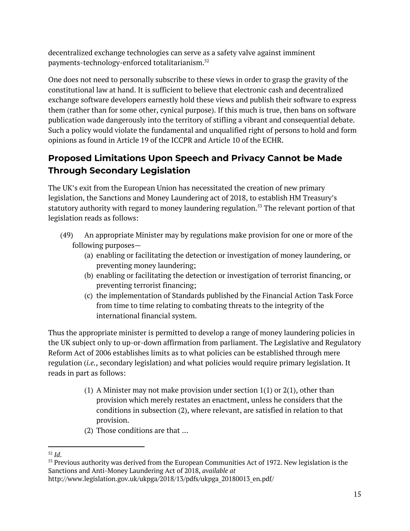decentralized exchange technologies can serve as a safety valve against imminent payments-technology-enforced totalitarianism. 52

One does not need to personally subscribe to these views in order to grasp the gravity of the constitutional law at hand. It is sufficient to believe that electronic cash and decentralized exchange software developers earnestly hold these views and publish their software to express them (rather than for some other, cynical purpose). If this much is true, then bans on software publication wade dangerously into the territory of stifling a vibrant and consequential debate. Such a policy would violate the fundamental and unqualified right of persons to hold and form opinions as found in Article 19 of the ICCPR and Article 10 of the ECHR.

# **Proposed Limitations Upon Speech and Privacy Cannot be Made Through Secondary Legislation**

The UK's exit from the European Union has necessitated the creation of new primary legislation, the Sanctions and Money Laundering act of 2018, to establish HM Treasury's statutory authority with regard to money laundering regulation. $^{55}$  The relevant portion of that legislation reads as follows:

- (49) An appropriate Minister may by regulations make provision for one or more of the following purposes—
	- (a) enabling or facilitating the detection or investigation of money laundering, or preventing money laundering;
	- (b) enabling or facilitating the detection or investigation of terrorist financing, or preventing terrorist financing;
	- (c) the implementation of Standards published by the Financial Action Task Force from time to time relating to combating threats to the integrity of the international financial system.

Thus the appropriate minister is permitted to develop a range of money laundering policies in the UK subject only to up-or-down affirmation from parliament. The Legislative and Regulatory Reform Act of 2006 establishes limits as to what policies can be established through mere regulation (*i.e.*, secondary legislation) and what policies would require primary legislation. It reads in part as follows:

- (1) A Minister may not make provision under section  $1(1)$  or  $2(1)$ , other than provision which merely restates an enactment, unless he considers that the conditions in subsection (2), where relevant, are satisfied in relation to that provision.
- (2) Those conditions are that …

<sup>52</sup> *Id*.

<sup>&</sup>lt;sup>53</sup> Previous authority was derived from the European Communities Act of 1972. New legislation is the Sanctions and Anti-Money Laundering Act of 2018, *available at* http://www.legislation.gov.uk/ukpga/2018/13/pdfs/ukpga\_20180013\_en.pdf/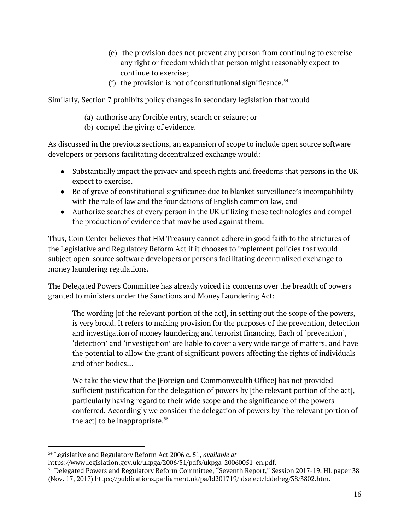- (e) the provision does not prevent any person from continuing to exercise any right or freedom which that person might reasonably expect to continue to exercise;
- (f) the provision is not of constitutional significance. $54$

Similarly, Section 7 prohibits policy changes in secondary legislation that would

- (a) authorise any forcible entry, search or seizure; or
- (b) compel the giving of evidence.

As discussed in the previous sections, an expansion of scope to include open source software developers or persons facilitating decentralized exchange would:

- Substantially impact the privacy and speech rights and freedoms that persons in the UK expect to exercise.
- Be of grave of constitutional significance due to blanket surveillance's incompatibility with the rule of law and the foundations of English common law, and
- Authorize searches of every person in the UK utilizing these technologies and compel the production of evidence that may be used against them.

Thus, Coin Center believes that HM Treasury cannot adhere in good faith to the strictures of the Legislative and Regulatory Reform Act if it chooses to implement policies that would subject open-source software developers or persons facilitating decentralized exchange to money laundering regulations.

The Delegated Powers Committee has already voiced its concerns over the breadth of powers granted to ministers under the Sanctions and Money Laundering Act:

The wording [of the relevant portion of the act], in setting out the scope of the powers, is very broad. It refers to making provision for the purposes of the prevention, detection and investigation of money laundering and terrorist financing. Each of 'prevention', 'detection' and 'investigation' are liable to cover a very wide range of matters, and have the potential to allow the grant of significant powers affecting the rights of individuals and other bodies…

We take the view that the [Foreign and Commonwealth Office] has not provided sufficient justification for the delegation of powers by [the relevant portion of the act], particularly having regard to their wide scope and the significance of the powers conferred. Accordingly we consider the delegation of powers by [the relevant portion of the act] to be inappropriate. $55$ 

<sup>54</sup> Legislative and Regulatory Reform Act 2006 c. 51, *available at*

[https://www.legislation.gov.uk/ukpga/2006/51/pdfs/ukpga\\_20060051\\_en.pdf](https://www.legislation.gov.uk/ukpga/2006/51/pdfs/ukpga_20060051_en.pdf).

<sup>&</sup>lt;sup>55</sup> Delegated Powers and Regulatory Reform Committee, "Seventh Report," Session 2017-19, HL paper 38 (Nov. 17, 2017) https://publications.parliament.uk/pa/ld201719/ldselect/lddelreg/38/3802.htm.